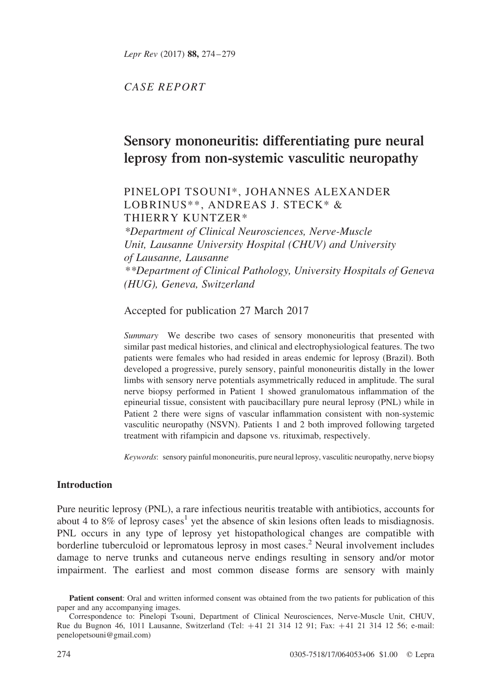CASE REPORT

# Sensory mononeuritis: differentiating pure neural leprosy from non-systemic vasculitic neuropathy

## PINELOPI TSOUNI\*, JOHANNES ALEXANDER LOBRINUS\*\*, ANDREAS J. STECK\* & THIERRY KUNTZER\*

\*Department of Clinical Neurosciences, Nerve-Muscle Unit, Lausanne University Hospital (CHUV) and University of Lausanne, Lausanne \*\*Department of Clinical Pathology, University Hospitals of Geneva (HUG), Geneva, Switzerland

Accepted for publication 27 March 2017

Summary We describe two cases of sensory mononeuritis that presented with similar past medical histories, and clinical and electrophysiological features. The two patients were females who had resided in areas endemic for leprosy (Brazil). Both developed a progressive, purely sensory, painful mononeuritis distally in the lower limbs with sensory nerve potentials asymmetrically reduced in amplitude. The sural nerve biopsy performed in Patient 1 showed granulomatous inflammation of the epineurial tissue, consistent with paucibacillary pure neural leprosy (PNL) while in Patient 2 there were signs of vascular inflammation consistent with non-systemic vasculitic neuropathy (NSVN). Patients 1 and 2 both improved following targeted treatment with rifampicin and dapsone vs. rituximab, respectively.

Keywords: sensory painful mononeuritis, pure neural leprosy, vasculitic neuropathy, nerve biopsy

## **Introduction**

Pure neuritic leprosy (PNL), a rare infectious neuritis treatable with antibiotics, accounts for about 4 to 8% of leprosy cases<sup>[1](#page-4-0)</sup> yet the absence of skin lesions often leads to misdiagnosis. PNL occurs in any type of leprosy yet histopathological changes are compatible with borderline tuberculoid or lepromatous leprosy in most cases.<sup>[2](#page-4-0)</sup> Neural involvement includes damage to nerve trunks and cutaneous nerve endings resulting in sensory and/or motor impairment. The earliest and most common disease forms are sensory with mainly

Patient consent: Oral and written informed consent was obtained from the two patients for publication of this paper and any accompanying images.

Correspondence to: Pinelopi Tsouni, Department of Clinical Neurosciences, Nerve-Muscle Unit, CHUV, Rue du Bugnon 46, 1011 Lausanne, Switzerland (Tel: +41 21 314 12 91; Fax: +41 21 314 12 56; e-mail: penelopetsouni@gmail.com)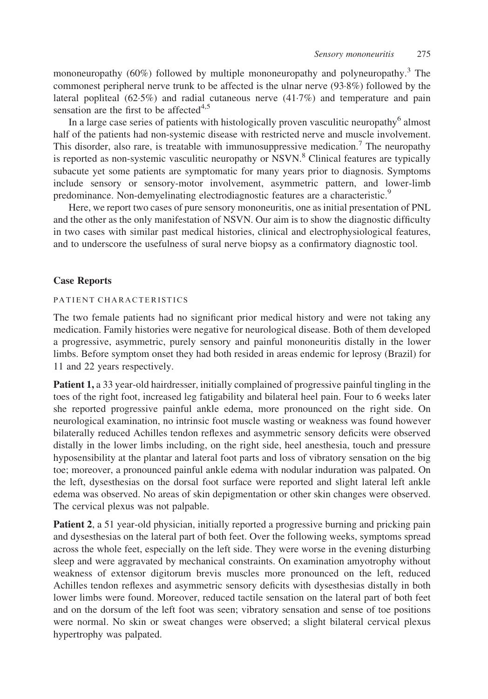mononeuropathy  $(60\%)$  followed by multiple mononeuropathy and polyneuropathy.<sup>[3](#page-4-0)</sup> The commonest peripheral nerve trunk to be affected is the ulnar nerve (93·8%) followed by the lateral popliteal (62·5%) and radial cutaneous nerve (41·7%) and temperature and pain sensation are the first to be affected $4,5$ 

In a large case series of patients with histologically proven vasculitic neuropathy $<sup>6</sup>$  $<sup>6</sup>$  $<sup>6</sup>$  almost</sup> half of the patients had non-systemic disease with restricted nerve and muscle involvement. This disorder, also rare, is treatable with immunosuppressive medication.<sup>[7](#page-4-0)</sup> The neuropathy is reported as non-systemic vasculitic neuropathy or NSVN.<sup>8</sup> Clinical features are typically subacute yet some patients are symptomatic for many years prior to diagnosis. Symptoms include sensory or sensory-motor involvement, asymmetric pattern, and lower-limb predominance. Non-demyelinating electrodiagnostic features are a characteristic.<sup>[9](#page-5-0)</sup>

Here, we report two cases of pure sensory mononeuritis, one as initial presentation of PNL and the other as the only manifestation of NSVN. Our aim is to show the diagnostic difficulty in two cases with similar past medical histories, clinical and electrophysiological features, and to underscore the usefulness of sural nerve biopsy as a confirmatory diagnostic tool.

## Case Reports

### PATIENT CHARACTERISTICS

The two female patients had no significant prior medical history and were not taking any medication. Family histories were negative for neurological disease. Both of them developed a progressive, asymmetric, purely sensory and painful mononeuritis distally in the lower limbs. Before symptom onset they had both resided in areas endemic for leprosy (Brazil) for 11 and 22 years respectively.

Patient 1, a 33 year-old hairdresser, initially complained of progressive painful tingling in the toes of the right foot, increased leg fatigability and bilateral heel pain. Four to 6 weeks later she reported progressive painful ankle edema, more pronounced on the right side. On neurological examination, no intrinsic foot muscle wasting or weakness was found however bilaterally reduced Achilles tendon reflexes and asymmetric sensory deficits were observed distally in the lower limbs including, on the right side, heel anesthesia, touch and pressure hyposensibility at the plantar and lateral foot parts and loss of vibratory sensation on the big toe; moreover, a pronounced painful ankle edema with nodular induration was palpated. On the left, dysesthesias on the dorsal foot surface were reported and slight lateral left ankle edema was observed. No areas of skin depigmentation or other skin changes were observed. The cervical plexus was not palpable.

Patient 2, a 51 year-old physician, initially reported a progressive burning and pricking pain and dysesthesias on the lateral part of both feet. Over the following weeks, symptoms spread across the whole feet, especially on the left side. They were worse in the evening disturbing sleep and were aggravated by mechanical constraints. On examination amyotrophy without weakness of extensor digitorum brevis muscles more pronounced on the left, reduced Achilles tendon reflexes and asymmetric sensory deficits with dysesthesias distally in both lower limbs were found. Moreover, reduced tactile sensation on the lateral part of both feet and on the dorsum of the left foot was seen; vibratory sensation and sense of toe positions were normal. No skin or sweat changes were observed; a slight bilateral cervical plexus hypertrophy was palpated.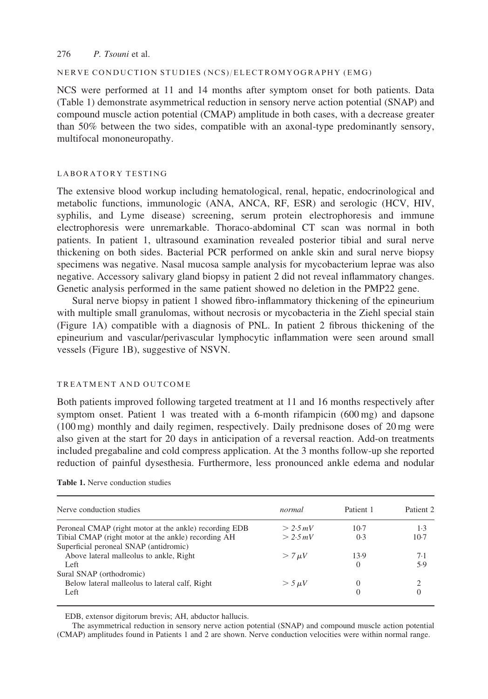#### 276 P. Tsouni et al.

#### NERVE CONDUCTION STUDIES (NCS)/ELECTROMYOGRAPHY (EMG)

NCS were performed at 11 and 14 months after symptom onset for both patients. Data (Table 1) demonstrate asymmetrical reduction in sensory nerve action potential (SNAP) and compound muscle action potential (CMAP) amplitude in both cases, with a decrease greater than 50% between the two sides, compatible with an axonal-type predominantly sensory, multifocal mononeuropathy.

#### LABORATORY TESTING

The extensive blood workup including hematological, renal, hepatic, endocrinological and metabolic functions, immunologic (ANA, ANCA, RF, ESR) and serologic (HCV, HIV, syphilis, and Lyme disease) screening, serum protein electrophoresis and immune electrophoresis were unremarkable. Thoraco-abdominal CT scan was normal in both patients. In patient 1, ultrasound examination revealed posterior tibial and sural nerve thickening on both sides. Bacterial PCR performed on ankle skin and sural nerve biopsy specimens was negative. Nasal mucosa sample analysis for mycobacterium leprae was also negative. Accessory salivary gland biopsy in patient 2 did not reveal inflammatory changes. Genetic analysis performed in the same patient showed no deletion in the PMP22 gene.

Sural nerve biopsy in patient 1 showed fibro-inflammatory thickening of the epineurium with multiple small granulomas, without necrosis or mycobacteria in the Ziehl special stain [\(Figure 1A\)](#page-3-0) compatible with a diagnosis of PNL. In patient 2 fibrous thickening of the epineurium and vascular/perivascular lymphocytic inflammation were seen around small vessels ([Figure 1B](#page-3-0)), suggestive of NSVN.

#### TREATMENT AND OUTCOME

Both patients improved following targeted treatment at 11 and 16 months respectively after symptom onset. Patient 1 was treated with a 6-month rifampicin (600 mg) and dapsone (100 mg) monthly and daily regimen, respectively. Daily prednisone doses of 20 mg were also given at the start for 20 days in anticipation of a reversal reaction. Add-on treatments included pregabaline and cold compress application. At the 3 months follow-up she reported reduction of painful dysesthesia. Furthermore, less pronounced ankle edema and nodular

| Nerve conduction studies                               | normal        | Patient 1 | Patient 2 |
|--------------------------------------------------------|---------------|-----------|-----------|
| Peroneal CMAP (right motor at the ankle) recording EDB | > 2.5 mV      | $10-7$    | 1.3       |
| Tibial CMAP (right motor at the ankle) recording AH    | > 2.5 mV      | 0.3       | $10-7$    |
| Superficial peroneal SNAP (antidromic)                 |               |           |           |
| Above lateral malleolus to ankle, Right                | $> 7 \mu V$   | 13.9      | 7.1       |
| Left                                                   |               | $\Omega$  | 5.9       |
| Sural SNAP (orthodromic)                               |               |           |           |
| Below lateral malleolus to lateral calf, Right         | $>$ 5 $\mu$ V |           |           |
| Left                                                   |               |           |           |

EDB, extensor digitorum brevis; AH, abductor hallucis.

The asymmetrical reduction in sensory nerve action potential (SNAP) and compound muscle action potential (CMAP) amplitudes found in Patients 1 and 2 are shown. Nerve conduction velocities were within normal range.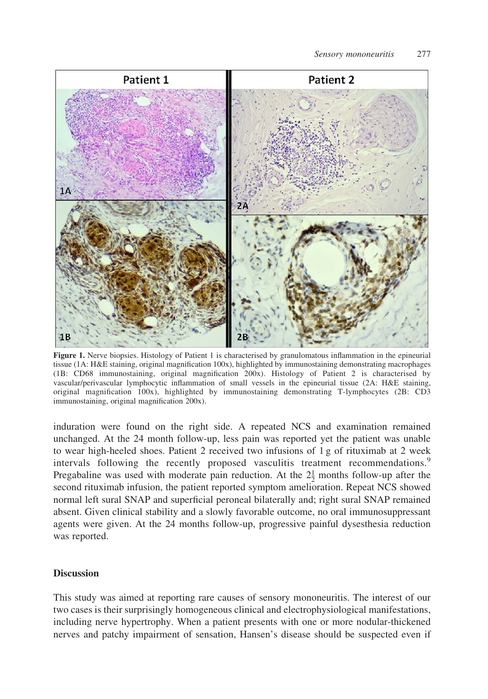<span id="page-3-0"></span>

Figure 1. Nerve biopsies. Histology of Patient 1 is characterised by granulomatous inflammation in the epineurial tissue (1A: H&E staining, original magnification 100x), highlighted by immunostaining demonstrating macrophages (1B: CD68 immunostaining, original magnification 200x). Histology of Patient 2 is characterised by vascular/perivascular lymphocytic inflammation of small vessels in the epineurial tissue (2A: H&E staining, original magnification 100x), highlighted by immunostaining demonstrating T-lymphocytes (2B: CD3 immunostaining, original magnification 200x).

induration were found on the right side. A repeated NCS and examination remained unchanged. At the 24 month follow-up, less pain was reported yet the patient was unable to wear high-heeled shoes. Patient 2 received two infusions of 1 g of rituximab at 2 week intervals following the recently proposed vasculitis treatment recommendations.<sup>[9](#page-5-0)</sup> Pregabaline was used with moderate pain reduction. At the  $2\frac{1}{2}$  months follow-up after the second rituximab infusion, the patient reported symptom amelioration. Repeat NCS showed normal left sural SNAP and superficial peroneal bilaterally and; right sural SNAP remained absent. Given clinical stability and a slowly favorable outcome, no oral immunosuppressant agents were given. At the 24 months follow-up, progressive painful dysesthesia reduction was reported.

## **Discussion**

This study was aimed at reporting rare causes of sensory mononeuritis. The interest of our two cases is their surprisingly homogeneous clinical and electrophysiological manifestations, including nerve hypertrophy. When a patient presents with one or more nodular-thickened nerves and patchy impairment of sensation, Hansen's disease should be suspected even if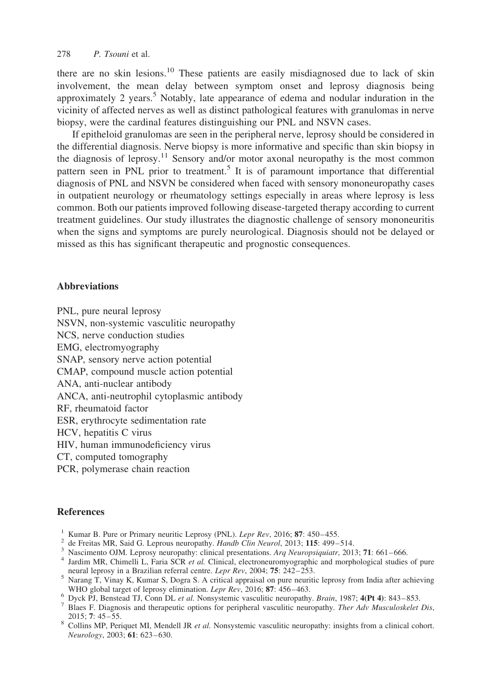<span id="page-4-0"></span>there are no skin lesions.<sup>[10](#page-5-0)</sup> These patients are easily misdiagnosed due to lack of skin involvement, the mean delay between symptom onset and leprosy diagnosis being approximately 2 years.<sup>5</sup> Notably, late appearance of edema and nodular induration in the vicinity of affected nerves as well as distinct pathological features with granulomas in nerve biopsy, were the cardinal features distinguishing our PNL and NSVN cases.

If epitheloid granulomas are seen in the peripheral nerve, leprosy should be considered in the differential diagnosis. Nerve biopsy is more informative and specific than skin biopsy in the diagnosis of leprosy.<sup>[11](#page-5-0)</sup> Sensory and/or motor axonal neuropathy is the most common pattern seen in PNL prior to treatment.<sup>5</sup> It is of paramount importance that differential diagnosis of PNL and NSVN be considered when faced with sensory mononeuropathy cases in outpatient neurology or rheumatology settings especially in areas where leprosy is less common. Both our patients improved following disease-targeted therapy according to current treatment guidelines. Our study illustrates the diagnostic challenge of sensory mononeuritis when the signs and symptoms are purely neurological. Diagnosis should not be delayed or missed as this has significant therapeutic and prognostic consequences.

## **Abbreviations**

PNL, pure neural leprosy NSVN, non-systemic vasculitic neuropathy NCS, nerve conduction studies EMG, electromyography SNAP, sensory nerve action potential CMAP, compound muscle action potential ANA, anti-nuclear antibody ANCA, anti-neutrophil cytoplasmic antibody RF, rheumatoid factor ESR, erythrocyte sedimentation rate HCV, hepatitis C virus HIV, human immunodeficiency virus CT, computed tomography PCR, polymerase chain reaction

## **References**

- 
- 
- 
- <sup>1</sup> Kumar B. Pure or Primary neuritic Leprosy (PNL). *Lepr Rev*, 2016; **87**: 450–455.<br>
<sup>2</sup> de Freitas MR, Said G. Leprous neuropathy. *Handb Clin Neurol*, 2013; **115**: 499–514.<br>
<sup>3</sup> Nascimento OJM. Leprosy neuropathy: cli
- <sup>5</sup> Narang T, Vinay K, Kumar S, Dogra S. A critical appraisal on pure neuritic leprosy from India after achieving WHO global target of leprosy elimination. Lepr Rev, 2016; 87: 456–463.<br>
<sup>6</sup> Dyck PJ, Benstead TJ, Conn DL et al. Nonsystemic vasculitic neuropathy. Brain, 1987; 4(Pt 4): 843–853.<br>
<sup>7</sup> Blaes F. Diagnosis and therapeutic opt
- 
- 
- 2015; 7: 45–55. 8 Collins MP, Periquet MI, Mendell JR *et al.* Nonsystemic vasculitic neuropathy: insights from a clinical cohort. Neurology, 2003; 61: 623-630.